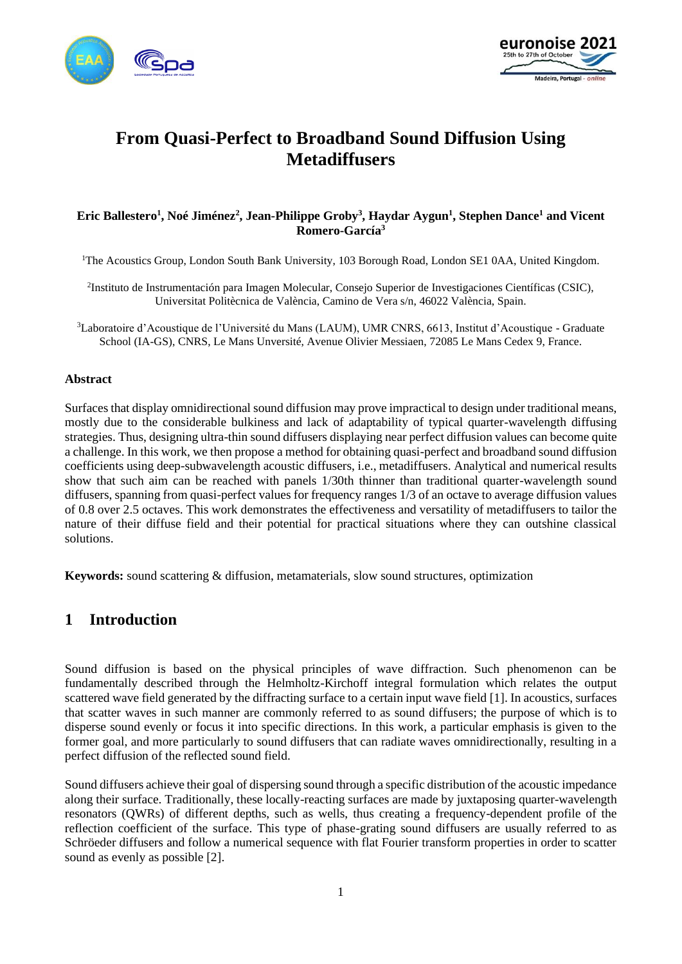



# **From Quasi-Perfect to Broadband Sound Diffusion Using Metadiffusers**

#### **Eric Ballestero<sup>1</sup> , Noé Jiménez<sup>2</sup> , Jean-Philippe Groby<sup>3</sup> , Haydar Aygun<sup>1</sup> , Stephen Dance<sup>1</sup> and Vicent Romero-García<sup>3</sup>**

<sup>1</sup>The Acoustics Group, London South Bank University, 103 Borough Road, London SE1 0AA, United Kingdom.

2 Instituto de Instrumentación para Imagen Molecular, Consejo Superior de Investigaciones Científicas (CSIC), Universitat Politècnica de València, Camino de Vera s/n, 46022 València, Spain.

<sup>3</sup>Laboratoire d'Acoustique de l'Université du Mans (LAUM), UMR CNRS, 6613, Institut d'Acoustique - Graduate School (IA-GS), CNRS, Le Mans Unversité, Avenue Olivier Messiaen, 72085 Le Mans Cedex 9, France.

#### **Abstract**

Surfaces that display omnidirectional sound diffusion may prove impractical to design under traditional means, mostly due to the considerable bulkiness and lack of adaptability of typical quarter-wavelength diffusing strategies. Thus, designing ultra-thin sound diffusers displaying near perfect diffusion values can become quite a challenge. In this work, we then propose a method for obtaining quasi-perfect and broadband sound diffusion coefficients using deep-subwavelength acoustic diffusers, i.e., metadiffusers. Analytical and numerical results show that such aim can be reached with panels 1/30th thinner than traditional quarter-wavelength sound diffusers, spanning from quasi-perfect values for frequency ranges 1/3 of an octave to average diffusion values of 0.8 over 2.5 octaves. This work demonstrates the effectiveness and versatility of metadiffusers to tailor the nature of their diffuse field and their potential for practical situations where they can outshine classical solutions.

**Keywords:** sound scattering & diffusion, metamaterials, slow sound structures, optimization

## **1 Introduction**

Sound diffusion is based on the physical principles of wave diffraction. Such phenomenon can be fundamentally described through the Helmholtz-Kirchoff integral formulation which relates the output scattered wave field generated by the diffracting surface to a certain input wave field [\[1\].](#page-4-0) In acoustics, surfaces that scatter waves in such manner are commonly referred to as sound diffusers; the purpose of which is to disperse sound evenly or focus it into specific directions. In this work, a particular emphasis is given to the former goal, and more particularly to sound diffusers that can radiate waves omnidirectionally, resulting in a perfect diffusion of the reflected sound field.

Sound diffusers achieve their goal of dispersing sound through a specific distribution of the acoustic impedance along their surface. Traditionally, these locally-reacting surfaces are made by juxtaposing quarter-wavelength resonators (QWRs) of different depths, such as wells, thus creating a frequency-dependent profile of the reflection coefficient of the surface. This type of phase-grating sound diffusers are usually referred to as Schröeder diffusers and follow a numerical sequence with flat Fourier transform properties in order to scatter sound as evenly as possible [\[2\].](#page-4-1)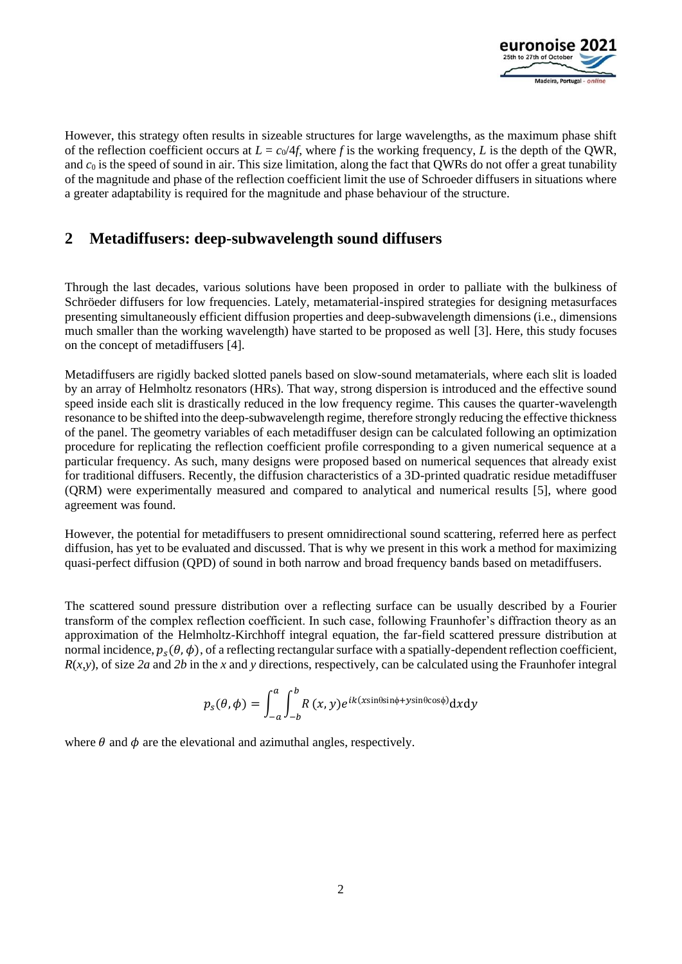

However, this strategy often results in sizeable structures for large wavelengths, as the maximum phase shift of the reflection coefficient occurs at  $L = c_0/4f$ , where f is the working frequency, L is the depth of the OWR, and  $c_0$  is the speed of sound in air. This size limitation, along the fact that QWRs do not offer a great tunability of the magnitude and phase of the reflection coefficient limit the use of Schroeder diffusers in situations where a greater adaptability is required for the magnitude and phase behaviour of the structure.

## **2 Metadiffusers: deep-subwavelength sound diffusers**

Through the last decades, various solutions have been proposed in order to palliate with the bulkiness of Schröeder diffusers for low frequencies. Lately, metamaterial-inspired strategies for designing metasurfaces presenting simultaneously efficient diffusion properties and deep-subwavelength dimensions (i.e., dimensions much smaller than the working wavelength) have started to be proposed as well [\[3\].](#page-4-2) Here, this study focuses on the concept of metadiffusers [\[4\].](#page-4-3)

Metadiffusers are rigidly backed slotted panels based on slow-sound metamaterials, where each slit is loaded by an array of Helmholtz resonators (HRs). That way, strong dispersion is introduced and the effective sound speed inside each slit is drastically reduced in the low frequency regime. This causes the quarter-wavelength resonance to be shifted into the deep-subwavelength regime, therefore strongly reducing the effective thickness of the panel. The geometry variables of each metadiffuser design can be calculated following an optimization procedure for replicating the reflection coefficient profile corresponding to a given numerical sequence at a particular frequency. As such, many designs were proposed based on numerical sequences that already exist for traditional diffusers. Recently, the diffusion characteristics of a 3D-printed quadratic residue metadiffuser (QRM) were experimentally measured and compared to analytical and numerical results [\[5\],](#page-4-4) where good agreement was found.

However, the potential for metadiffusers to present omnidirectional sound scattering, referred here as perfect diffusion, has yet to be evaluated and discussed. That is why we present in this work a method for maximizing quasi-perfect diffusion (QPD) of sound in both narrow and broad frequency bands based on metadiffusers.

The scattered sound pressure distribution over a reflecting surface can be usually described by a Fourier transform of the complex reflection coefficient. In such case, following Fraunhofer's diffraction theory as an approximation of the Helmholtz-Kirchhoff integral equation, the far-field scattered pressure distribution at normal incidence,  $p_s(\theta, \phi)$ , of a reflecting rectangular surface with a spatially-dependent reflection coefficient,  $R(x, y)$ , of size 2*a* and 2*b* in the *x* and *y* directions, respectively, can be calculated using the Fraunhofer integral

$$
p_{s}(\theta,\phi) = \int_{-a}^{a} \int_{-b}^{b} R(x,y)e^{ik(x\sin\theta\sin\phi + y\sin\theta\cos\phi)}dx dy
$$

where  $\theta$  and  $\phi$  are the elevational and azimuthal angles, respectively.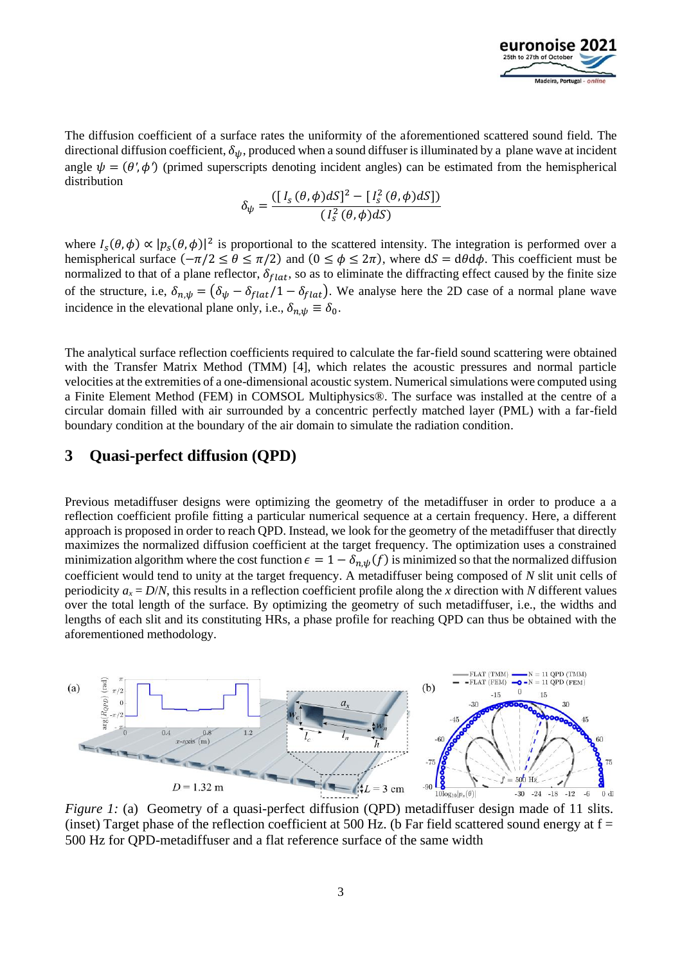

The diffusion coefficient of a surface rates the uniformity of the aforementioned scattered sound field. The directional diffusion coefficient,  $\delta_{\psi}$ , produced when a sound diffuser is illuminated by a plane wave at incident angle  $\psi = (\theta', \phi')$  (primed superscripts denoting incident angles) can be estimated from the hemispherical distribution

$$
\delta_{\psi} = \frac{\left( [I_s(\theta, \phi) dS]^2 - [I_s^2(\theta, \phi) dS] \right)}{\left( I_s^2(\theta, \phi) dS \right)}
$$

where  $I_s(\theta, \phi) \propto |p_s(\theta, \phi)|^2$  is proportional to the scattered intensity. The integration is performed over a hemispherical surface  $(-\pi/2 \le \theta \le \pi/2)$  and  $(0 \le \phi \le 2\pi)$ , where  $dS = d\theta d\phi$ . This coefficient must be normalized to that of a plane reflector,  $\delta_{flat}$ , so as to eliminate the diffracting effect caused by the finite size of the structure, i.e,  $\delta_{n,\psi} = (\delta_{\psi} - \delta_{flat}/1 - \delta_{flat})$ . We analyse here the 2D case of a normal plane wave incidence in the elevational plane only, i.e.,  $\delta_{n, w} \equiv \delta_0$ .

The analytical surface reflection coefficients required to calculate the far-field sound scattering were obtained with the Transfer Matrix Method (TMM) [\[4\],](#page-4-3) which relates the acoustic pressures and normal particle velocities at the extremities of a one-dimensional acoustic system. Numerical simulations were computed using a Finite Element Method (FEM) in COMSOL Multiphysics®. The surface was installed at the centre of a circular domain filled with air surrounded by a concentric perfectly matched layer (PML) with a far-field boundary condition at the boundary of the air domain to simulate the radiation condition.

### **3 Quasi-perfect diffusion (QPD)**

Previous metadiffuser designs were optimizing the geometry of the metadiffuser in order to produce a a reflection coefficient profile fitting a particular numerical sequence at a certain frequency. Here, a different approach is proposed in order to reach QPD. Instead, we look for the geometry of the metadiffuser that directly maximizes the normalized diffusion coefficient at the target frequency. The optimization uses a constrained minimization algorithm where the cost function  $\epsilon = 1 - \delta_{n,b}(f)$  is minimized so that the normalized diffusion coefficient would tend to unity at the target frequency. A metadiffuser being composed of *N* slit unit cells of periodicity  $a_x = D/N$ , this results in a reflection coefficient profile along the *x* direction with *N* different values over the total length of the surface. By optimizing the geometry of such metadiffuser, i.e., the widths and lengths of each slit and its constituting HRs, a phase profile for reaching QPD can thus be obtained with the aforementioned methodology.



*Figure 1:* (a) Geometry of a quasi-perfect diffusion (QPD) metadiffuser design made of 11 slits. (inset) Target phase of the reflection coefficient at 500 Hz. (b Far field scattered sound energy at  $f =$ 500 Hz for QPD-metadiffuser and a flat reference surface of the same width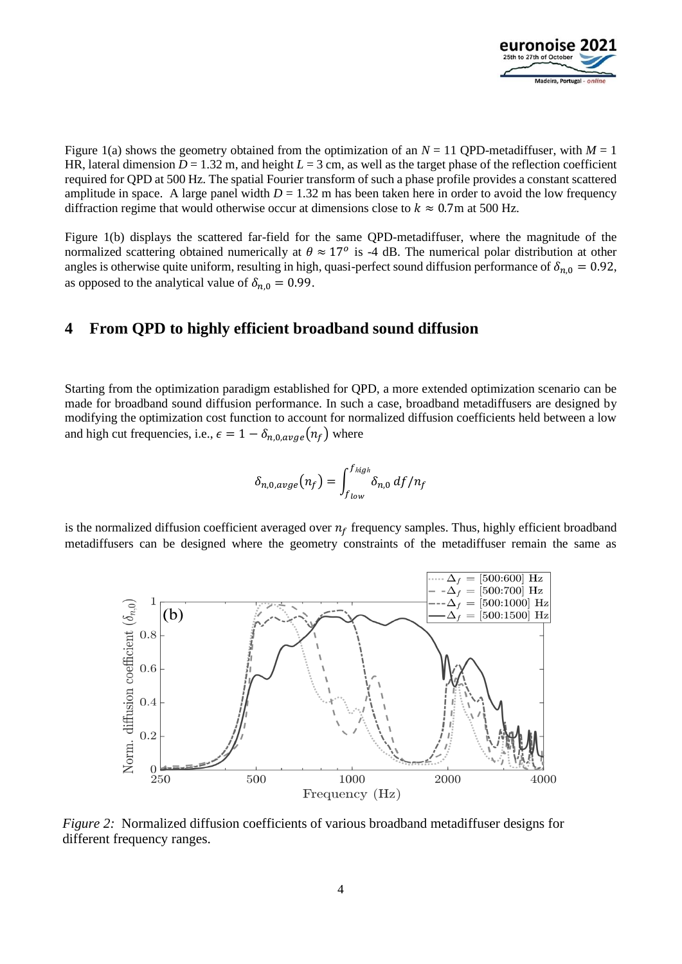

Figure 1(a) shows the geometry obtained from the optimization of an  $N = 11$  OPD-metadiffuser, with  $M = 1$ HR, lateral dimension  $D = 1.32$  m, and height  $L = 3$  cm, as well as the target phase of the reflection coefficient required for QPD at 500 Hz. The spatial Fourier transform of such a phase profile provides a constant scattered amplitude in space. A large panel width  $D = 1.32$  m has been taken here in order to avoid the low frequency diffraction regime that would otherwise occur at dimensions close to  $k \approx 0.7$ m at 500 Hz.

Figure 1(b) displays the scattered far-field for the same QPD-metadiffuser, where the magnitude of the normalized scattering obtained numerically at  $\theta \approx 17^{\circ}$  is -4 dB. The numerical polar distribution at other angles is otherwise quite uniform, resulting in high, quasi-perfect sound diffusion performance of  $\delta_{n,0} = 0.92$ , as opposed to the analytical value of  $\delta_{n,0} = 0.99$ .

## **4 From QPD to highly efficient broadband sound diffusion**

Starting from the optimization paradigm established for QPD, a more extended optimization scenario can be made for broadband sound diffusion performance. In such a case, broadband metadiffusers are designed by modifying the optimization cost function to account for normalized diffusion coefficients held between a low and high cut frequencies, i.e.,  $\epsilon = 1 - \delta_{n,0,ave}(n_f)$  where

$$
\delta_{n,0,avge}(n_f) = \int_{f_{low}}^{f_{high}} \delta_{n,0} \, df/n_f
$$

is the normalized diffusion coefficient averaged over  $n_f$  frequency samples. Thus, highly efficient broadband metadiffusers can be designed where the geometry constraints of the metadiffuser remain the same as



*Figure 2:* Normalized diffusion coefficients of various broadband metadiffuser designs for different frequency ranges.